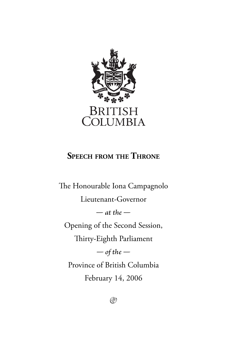

#### **SPEECH FROM THE THRONE**

The Honourable Iona Campagnolo Lieutenant-Governor *— at the —* Opening of the Second Session, Thirty-Eighth Parliament *— of the —* Province of British Columbia February 14, 2006

 $\circledR$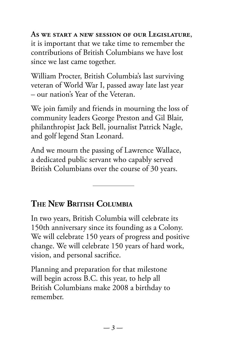**As we start a new session of our Legislature**, it is important that we take time to remember the contributions of British Columbians we have lost since we last came together.

William Procter, British Columbia's last surviving veteran of World War I, passed away late last year – our nation's Year of the Veteran.

We join family and friends in mourning the loss of community leaders George Preston and Gil Blair, philanthropist Jack Bell, journalist Patrick Nagle, and golf legend Stan Leonard.

And we mourn the passing of Lawrence Wallace, a dedicated public servant who capably served British Columbians over the course of 30 years.

## **THE NEW BRITISH COLUMBIA**

In two years, British Columbia will celebrate its 150th anniversary since its founding as a Colony. We will celebrate 150 years of progress and positive change. We will celebrate 150 years of hard work, vision, and personal sacrifice.

Planning and preparation for that milestone will begin across B.C. this year, to help all British Columbians make 2008 a birthday to remember.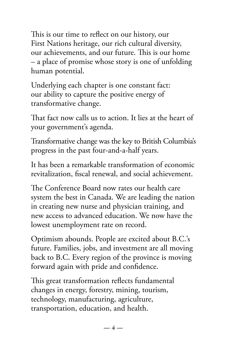This is our time to reflect on our history, our First Nations heritage, our rich cultural diversity, our achievements, and our future. This is our home – a place of promise whose story is one of unfolding human potential.

Underlying each chapter is one constant fact: our ability to capture the positive energy of transformative change.

That fact now calls us to action. It lies at the heart of your government's agenda.

Transformative change was the key to British Columbia's progress in the past four-and-a-half years.

It has been a remarkable transformation of economic revitalization, fiscal renewal, and social achievement.

The Conference Board now rates our health care system the best in Canada. We are leading the nation in creating new nurse and physician training, and new access to advanced education. We now have the lowest unemployment rate on record.

Optimism abounds. People are excited about B.C.'s future. Families, jobs, and investment are all moving back to B.C. Every region of the province is moving forward again with pride and confidence.

This great transformation reflects fundamental changes in energy, forestry, mining, tourism, technology, manufacturing, agriculture, transportation, education, and health.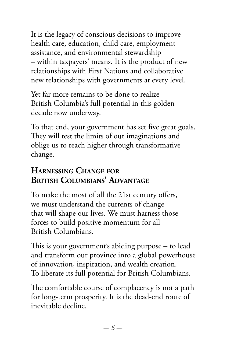It is the legacy of conscious decisions to improve health care, education, child care, employment assistance, and environmental stewardship – within taxpayers' means. It is the product of new relationships with First Nations and collaborative new relationships with governments at every level.

Yet far more remains to be done to realize British Columbia's full potential in this golden decade now underway.

To that end, your government has set five great goals. They will test the limits of our imaginations and oblige us to reach higher through transformative change.

# **HARNESSING CHANGE FOR BRITISH COLUMBIANS' ADVANTAGE**

To make the most of all the 21st century offers, we must understand the currents of change that will shape our lives. We must harness those forces to build positive momentum for all British Columbians.

This is your government's abiding purpose  $-$  to lead and transform our province into a global powerhouse of innovation, inspiration, and wealth creation. To liberate its full potential for British Columbians.

The comfortable course of complacency is not a path for long-term prosperity. It is the dead-end route of inevitable decline.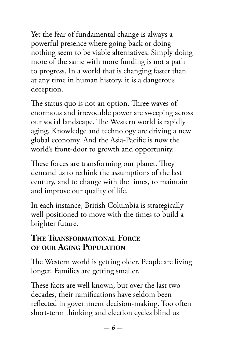Yet the fear of fundamental change is always a powerful presence where going back or doing nothing seem to be viable alternatives. Simply doing more of the same with more funding is not a path to progress. In a world that is changing faster than at any time in human history, it is a dangerous deception.

The status quo is not an option. Three waves of enormous and irrevocable power are sweeping across our social landscape. The Western world is rapidly aging. Knowledge and technology are driving a new global economy. And the Asia-Pacific is now the world's front-door to growth and opportunity.

These forces are transforming our planet. They demand us to rethink the assumptions of the last century, and to change with the times, to maintain and improve our quality of life.

In each instance, British Columbia is strategically well-positioned to move with the times to build a brighter future.

#### **THE TRANSFORMATIONAL FORCE OF OUR AGING POPULATION**

The Western world is getting older. People are living longer. Families are getting smaller.

These facts are well known, but over the last two decades, their ramifications have seldom been reflected in government decision-making. Too often short-term thinking and election cycles blind us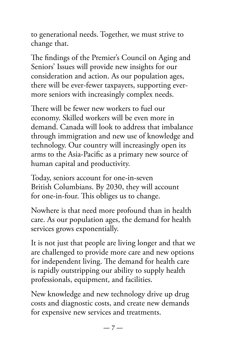to generational needs. Together, we must strive to change that.

The findings of the Premier's Council on Aging and Seniors' Issues will provide new insights for our consideration and action. As our population ages, there will be ever-fewer taxpayers, supporting evermore seniors with increasingly complex needs.

There will be fewer new workers to fuel our economy. Skilled workers will be even more in demand. Canada will look to address that imbalance through immigration and new use of knowledge and technology. Our country will increasingly open its arms to the Asia-Pacific as a primary new source of human capital and productivity.

Today, seniors account for one-in-seven British Columbians. By 2030, they will account for one-in-four. This obliges us to change.

Nowhere is that need more profound than in health care. As our population ages, the demand for health services grows exponentially.

It is not just that people are living longer and that we are challenged to provide more care and new options for independent living. The demand for health care is rapidly outstripping our ability to supply health professionals, equipment, and facilities.

New knowledge and new technology drive up drug costs and diagnostic costs, and create new demands for expensive new services and treatments.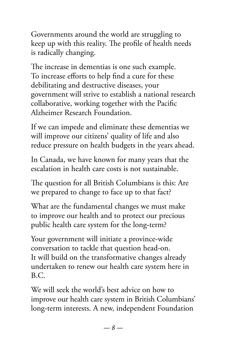Governments around the world are struggling to keep up with this reality. The profile of health needs is radically changing.

The increase in dementias is one such example. To increase efforts to help find a cure for these debilitating and destructive diseases, your government will strive to establish a national research collaborative, working together with the Pacific Alzheimer Research Foundation.

If we can impede and eliminate these dementias we will improve our citizens' quality of life and also reduce pressure on health budgets in the years ahead.

In Canada, we have known for many years that the escalation in health care costs is not sustainable.

The question for all British Columbians is this: Are we prepared to change to face up to that fact?

What are the fundamental changes we must make to improve our health and to protect our precious public health care system for the long-term?

Your government will initiate a province-wide conversation to tackle that question head-on. It will build on the transformative changes already undertaken to renew our health care system here in B.C.

We will seek the world's best advice on how to improve our health care system in British Columbians' long-term interests. A new, independent Foundation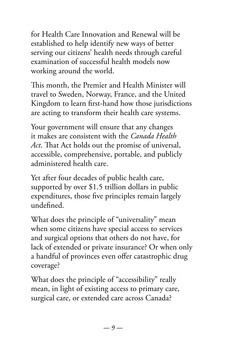for Health Care Innovation and Renewal will be established to help identify new ways of better serving our citizens' health needs through careful examination of successful health models now working around the world.

This month, the Premier and Health Minister will travel to Sweden, Norway, France, and the United Kingdom to learn first-hand how those jurisdictions are acting to transform their health care systems.

Your government will ensure that any changes it makes are consistent with the *Canada Health*  Act. That Act holds out the promise of universal, accessible, comprehensive, portable, and publicly administered health care.

Yet after four decades of public health care, supported by over \$1.5 trillion dollars in public expenditures, those five principles remain largely undefined.

What does the principle of "universality" mean when some citizens have special access to services and surgical options that others do not have, for lack of extended or private insurance? Or when only a handful of provinces even offer catastrophic drug coverage?

What does the principle of "accessibility" really mean, in light of existing access to primary care, surgical care, or extended care across Canada?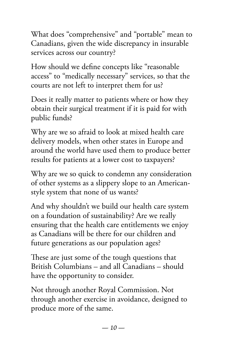What does "comprehensive" and "portable" mean to Canadians, given the wide discrepancy in insurable services across our country?

How should we define concepts like "reasonable" access" to "medically necessary" services, so that the courts are not left to interpret them for us?

Does it really matter to patients where or how they obtain their surgical treatment if it is paid for with public funds?

Why are we so afraid to look at mixed health care delivery models, when other states in Europe and around the world have used them to produce better results for patients at a lower cost to taxpayers?

Why are we so quick to condemn any consideration of other systems as a slippery slope to an Americanstyle system that none of us wants?

And why shouldn't we build our health care system on a foundation of sustainability? Are we really ensuring that the health care entitlements we enjoy as Canadians will be there for our children and future generations as our population ages?

These are just some of the tough questions that British Columbians – and all Canadians – should have the opportunity to consider.

Not through another Royal Commission. Not through another exercise in avoidance, designed to produce more of the same.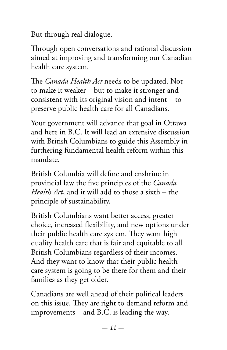But through real dialogue.

Through open conversations and rational discussion aimed at improving and transforming our Canadian health care system.

The *Canada Health Act* needs to be updated. Not to make it weaker – but to make it stronger and consistent with its original vision and intent – to preserve public health care for all Canadians.

Your government will advance that goal in Ottawa and here in B.C. It will lead an extensive discussion with British Columbians to guide this Assembly in furthering fundamental health reform within this mandate.

British Columbia will define and enshrine in provincial law the five principles of the *Canada Health Act*, and it will add to those a sixth – the principle of sustainability.

British Columbians want better access, greater choice, increased flexibility, and new options under their public health care system. They want high quality health care that is fair and equitable to all British Columbians regardless of their incomes. And they want to know that their public health care system is going to be there for them and their families as they get older.

Canadians are well ahead of their political leaders on this issue. They are right to demand reform and improvements – and B.C. is leading the way.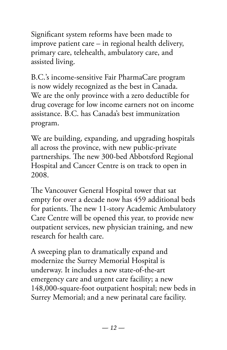Significant system reforms have been made to improve patient care – in regional health delivery, primary care, telehealth, ambulatory care, and assisted living.

B.C.'s income-sensitive Fair PharmaCare program is now widely recognized as the best in Canada. We are the only province with a zero deductible for drug coverage for low income earners not on income assistance. B.C. has Canada's best immunization program.

We are building, expanding, and upgrading hospitals all across the province, with new public-private partnerships. The new 300-bed Abbotsford Regional Hospital and Cancer Centre is on track to open in 2008.

The Vancouver General Hospital tower that sat empty for over a decade now has 459 additional beds for patients. The new 11-story Academic Ambulatory Care Centre will be opened this year, to provide new outpatient services, new physician training, and new research for health care.

A sweeping plan to dramatically expand and modernize the Surrey Memorial Hospital is underway. It includes a new state-of-the-art emergency care and urgent care facility; a new 148,000-square-foot outpatient hospital; new beds in Surrey Memorial; and a new perinatal care facility.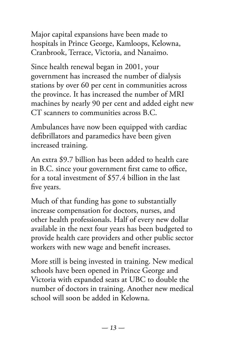Major capital expansions have been made to hospitals in Prince George, Kamloops, Kelowna, Cranbrook, Terrace, Victoria, and Nanaimo.

Since health renewal began in 2001, your government has increased the number of dialysis stations by over 60 per cent in communities across the province. It has increased the number of MRI machines by nearly 90 per cent and added eight new CT scanners to communities across B.C.

Ambulances have now been equipped with cardiac defibrillators and paramedics have been given increased training.

An extra \$9.7 billion has been added to health care in B.C. since your government first came to office, for a total investment of \$57.4 billion in the last five years.

Much of that funding has gone to substantially increase compensation for doctors, nurses, and other health professionals. Half of every new dollar available in the next four years has been budgeted to provide health care providers and other public sector workers with new wage and benefit increases.

More still is being invested in training. New medical schools have been opened in Prince George and Victoria with expanded seats at UBC to double the number of doctors in training. Another new medical school will soon be added in Kelowna.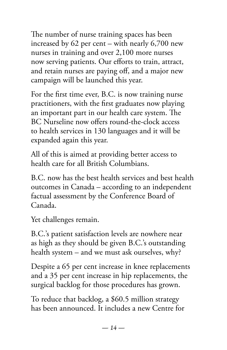The number of nurse training spaces has been increased by 62 per cent – with nearly 6,700 new nurses in training and over 2,100 more nurses now serving patients. Our efforts to train, attract, and retain nurses are paying off, and a major new campaign will be launched this year.

For the first time ever, B.C. is now training nurse practitioners, with the first graduates now playing an important part in our health care system. The BC Nurseline now offers round-the-clock access to health services in 130 languages and it will be expanded again this year.

All of this is aimed at providing better access to health care for all British Columbians.

B.C. now has the best health services and best health outcomes in Canada – according to an independent factual assessment by the Conference Board of Canada.

Yet challenges remain.

B.C.'s patient satisfaction levels are nowhere near as high as they should be given B.C.'s outstanding health system – and we must ask ourselves, why?

Despite a 65 per cent increase in knee replacements and a 35 per cent increase in hip replacements, the surgical backlog for those procedures has grown.

To reduce that backlog, a \$60.5 million strategy has been announced. It includes a new Centre for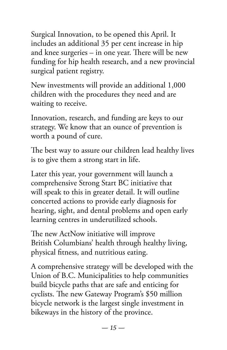Surgical Innovation, to be opened this April. It includes an additional 35 per cent increase in hip and knee surgeries – in one year. There will be new funding for hip health research, and a new provincial surgical patient registry.

New investments will provide an additional 1,000 children with the procedures they need and are waiting to receive.

Innovation, research, and funding are keys to our strategy. We know that an ounce of prevention is worth a pound of cure.

The best way to assure our children lead healthy lives is to give them a strong start in life.

Later this year, your government will launch a comprehensive Strong Start BC initiative that will speak to this in greater detail. It will outline concerted actions to provide early diagnosis for hearing, sight, and dental problems and open early learning centres in underutilized schools.

The new ActNow initiative will improve British Columbians' health through healthy living, physical fitness, and nutritious eating.

A comprehensive strategy will be developed with the Union of B.C. Municipalities to help communities build bicycle paths that are safe and enticing for cyclists. The new Gateway Program's \$50 million bicycle network is the largest single investment in bikeways in the history of the province.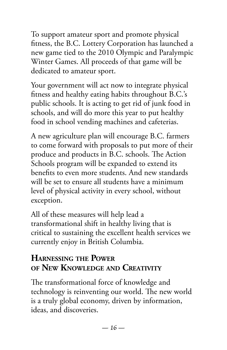To support amateur sport and promote physical fitness, the B.C. Lottery Corporation has launched a new game tied to the 2010 Olympic and Paralympic Winter Games. All proceeds of that game will be dedicated to amateur sport.

Your government will act now to integrate physical fitness and healthy eating habits throughout B.C.'s public schools. It is acting to get rid of junk food in schools, and will do more this year to put healthy food in school vending machines and cafeterias.

A new agriculture plan will encourage B.C. farmers to come forward with proposals to put more of their produce and products in B.C. schools. The Action Schools program will be expanded to extend its benefits to even more students. And new standards will be set to ensure all students have a minimum level of physical activity in every school, without exception.

All of these measures will help lead a transformational shift in healthy living that is critical to sustaining the excellent health services we currently enjoy in British Columbia.

## **HARNESSING THE POWER OF NEW KNOWLEDGE AND CREATIVITY**

The transformational force of knowledge and technology is reinventing our world. The new world is a truly global economy, driven by information, ideas, and discoveries.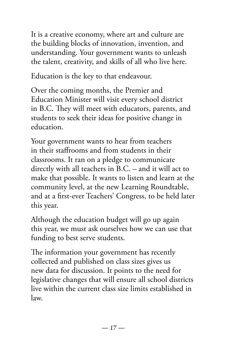It is a creative economy, where art and culture are the building blocks of innovation, invention, and understanding. Your government wants to unleash the talent, creativity, and skills of all who live here.

Education is the key to that endeavour.

Over the coming months, the Premier and Education Minister will visit every school district in B.C. They will meet with educators, parents, and students to seek their ideas for positive change in education.

Your government wants to hear from teachers in their staffrooms and from students in their classrooms. It ran on a pledge to communicate directly with all teachers in B.C. – and it will act to make that possible. It wants to listen and learn at the community level, at the new Learning Roundtable, and at a first-ever Teachers' Congress, to be held later this year.

Although the education budget will go up again this year, we must ask ourselves how we can use that funding to best serve students.

The information your government has recently collected and published on class sizes gives us new data for discussion. It points to the need for legislative changes that will ensure all school districts live within the current class size limits established in law.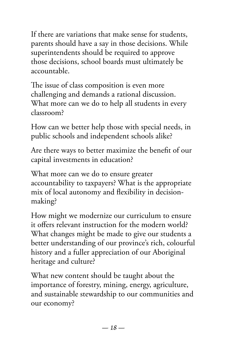If there are variations that make sense for students, parents should have a say in those decisions. While superintendents should be required to approve those decisions, school boards must ultimately be accountable.

The issue of class composition is even more challenging and demands a rational discussion. What more can we do to help all students in every classroom?

How can we better help those with special needs, in public schools and independent schools alike?

Are there ways to better maximize the benefit of our capital investments in education?

What more can we do to ensure greater accountability to taxpayers? What is the appropriate mix of local autonomy and flexibility in decisionmaking?

How might we modernize our curriculum to ensure it offers relevant instruction for the modern world? What changes might be made to give our students a better understanding of our province's rich, colourful history and a fuller appreciation of our Aboriginal heritage and culture?

What new content should be taught about the importance of forestry, mining, energy, agriculture, and sustainable stewardship to our communities and our economy?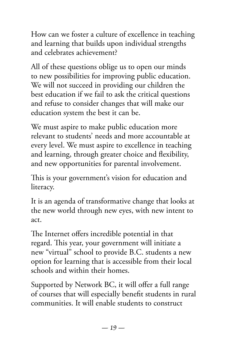How can we foster a culture of excellence in teaching and learning that builds upon individual strengths and celebrates achievement?

All of these questions oblige us to open our minds to new possibilities for improving public education. We will not succeed in providing our children the best education if we fail to ask the critical questions and refuse to consider changes that will make our education system the best it can be.

We must aspire to make public education more relevant to students' needs and more accountable at every level. We must aspire to excellence in teaching and learning, through greater choice and flexibility, and new opportunities for parental involvement.

This is your government's vision for education and literacy.

It is an agenda of transformative change that looks at the new world through new eyes, with new intent to act.

The Internet offers incredible potential in that regard. This year, your government will initiate a new "virtual" school to provide B.C. students a new option for learning that is accessible from their local schools and within their homes.

Supported by Network BC, it will offer a full range of courses that will especially benefit students in rural communities. It will enable students to construct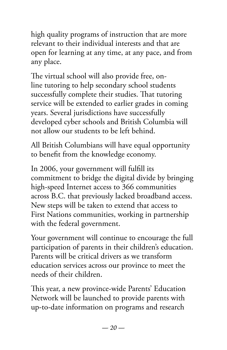high quality programs of instruction that are more relevant to their individual interests and that are open for learning at any time, at any pace, and from any place.

The virtual school will also provide free, online tutoring to help secondary school students successfully complete their studies. That tutoring service will be extended to earlier grades in coming years. Several jurisdictions have successfully developed cyber schools and British Columbia will not allow our students to be left behind.

All British Columbians will have equal opportunity to benefit from the knowledge economy.

In 2006, your government will fulfill its commitment to bridge the digital divide by bringing high-speed Internet access to 366 communities across B.C. that previously lacked broadband access. New steps will be taken to extend that access to First Nations communities, working in partnership with the federal government.

Your government will continue to encourage the full participation of parents in their children's education. Parents will be critical drivers as we transform education services across our province to meet the needs of their children.

This year, a new province-wide Parents' Education Network will be launched to provide parents with up-to-date information on programs and research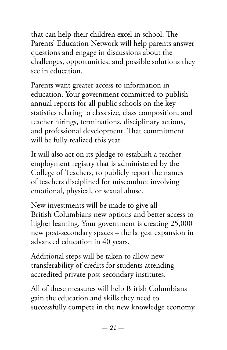that can help their children excel in school. The Parents' Education Network will help parents answer questions and engage in discussions about the challenges, opportunities, and possible solutions they see in education.

Parents want greater access to information in education. Your government committed to publish annual reports for all public schools on the key statistics relating to class size, class composition, and teacher hirings, terminations, disciplinary actions, and professional development. That commitment will be fully realized this year.

It will also act on its pledge to establish a teacher employment registry that is administered by the College of Teachers, to publicly report the names of teachers disciplined for misconduct involving emotional, physical, or sexual abuse.

New investments will be made to give all British Columbians new options and better access to higher learning. Your government is creating 25,000 new post-secondary spaces – the largest expansion in advanced education in 40 years.

Additional steps will be taken to allow new transferability of credits for students attending accredited private post-secondary institutes.

All of these measures will help British Columbians gain the education and skills they need to successfully compete in the new knowledge economy.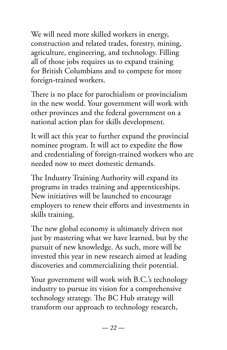We will need more skilled workers in energy, construction and related trades, forestry, mining, agriculture, engineering, and technology. Filling all of those jobs requires us to expand training for British Columbians and to compete for more foreign-trained workers.

There is no place for parochialism or provincialism in the new world. Your government will work with other provinces and the federal government on a national action plan for skills development.

It will act this year to further expand the provincial nominee program. It will act to expedite the flow and credentialing of foreign-trained workers who are needed now to meet domestic demands.

The Industry Training Authority will expand its programs in trades training and apprenticeships. New initiatives will be launched to encourage employers to renew their efforts and investments in skills training.

The new global economy is ultimately driven not just by mastering what we have learned, but by the pursuit of new knowledge. As such, more will be invested this year in new research aimed at leading discoveries and commercializing their potential.

Your government will work with B.C.'s technology industry to pursue its vision for a comprehensive technology strategy. The BC Hub strategy will transform our approach to technology research,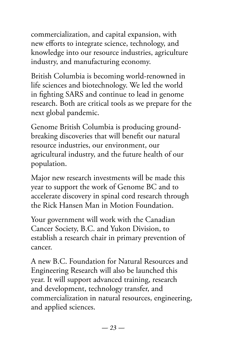commercialization, and capital expansion, with new efforts to integrate science, technology, and knowledge into our resource industries, agriculture industry, and manufacturing economy.

British Columbia is becoming world-renowned in life sciences and biotechnology. We led the world in fighting SARS and continue to lead in genome research. Both are critical tools as we prepare for the next global pandemic.

Genome British Columbia is producing groundbreaking discoveries that will benefit our natural resource industries, our environment, our agricultural industry, and the future health of our population.

Major new research investments will be made this year to support the work of Genome BC and to accelerate discovery in spinal cord research through the Rick Hansen Man in Motion Foundation.

Your government will work with the Canadian Cancer Society, B.C. and Yukon Division, to establish a research chair in primary prevention of cancer.

A new B.C. Foundation for Natural Resources and Engineering Research will also be launched this year. It will support advanced training, research and development, technology transfer, and commercialization in natural resources, engineering, and applied sciences.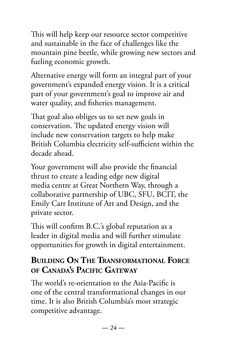This will help keep our resource sector competitive and sustainable in the face of challenges like the mountain pine beetle, while growing new sectors and fueling economic growth.

Alternative energy will form an integral part of your government's expanded energy vision. It is a critical part of your government's goal to improve air and water quality, and fisheries management.

That goal also obliges us to set new goals in conservation. The updated energy vision will include new conservation targets to help make British Columbia electricity self-sufficient within the decade ahead.

Your government will also provide the financial thrust to create a leading edge new digital media centre at Great Northern Way, through a collaborative partnership of UBC, SFU, BCIT, the Emily Carr Institute of Art and Design, and the private sector.

This will confirm B.C.'s global reputation as a leader in digital media and will further stimulate opportunities for growth in digital entertainment.

#### **BUILDING ON THE TRANSFORMATIONAL FORCE OF CANADA'S PACIFIC GATEWAY**

The world's re-orientation to the Asia-Pacific is one of the central transformational changes in our time. It is also British Columbia's most strategic competitive advantage.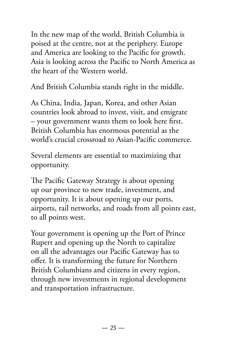In the new map of the world, British Columbia is poised at the centre, not at the periphery. Europe and America are looking to the Pacific for growth. Asia is looking across the Pacific to North America as the heart of the Western world.

And British Columbia stands right in the middle.

As China, India, Japan, Korea, and other Asian countries look abroad to invest, visit, and emigrate – your government wants them to look here first. British Columbia has enormous potential as the world's crucial crossroad to Asian-Pacific commerce.

Several elements are essential to maximizing that opportunity.

The Pacific Gateway Strategy is about opening up our province to new trade, investment, and opportunity. It is about opening up our ports, airports, rail networks, and roads from all points east, to all points west.

Your government is opening up the Port of Prince Rupert and opening up the North to capitalize on all the advantages our Pacific Gateway has to offer. It is transforming the future for Northern British Columbians and citizens in every region, through new investments in regional development and transportation infrastructure.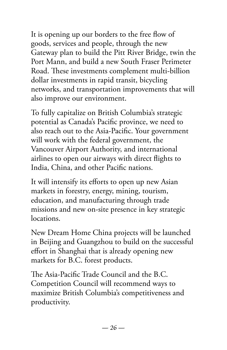It is opening up our borders to the free flow of goods, services and people, through the new Gateway plan to build the Pitt River Bridge, twin the Port Mann, and build a new South Fraser Perimeter Road. These investments complement multi-billion dollar investments in rapid transit, bicycling networks, and transportation improvements that will also improve our environment.

To fully capitalize on British Columbia's strategic potential as Canada's Pacific province, we need to also reach out to the Asia-Pacific. Your government will work with the federal government, the Vancouver Airport Authority, and international airlines to open our airways with direct flights to India, China, and other Pacific nations.

It will intensify its efforts to open up new Asian markets in forestry, energy, mining, tourism, education, and manufacturing through trade missions and new on-site presence in key strategic locations.

New Dream Home China projects will be launched in Beijing and Guangzhou to build on the successful effort in Shanghai that is already opening new markets for B.C. forest products.

The Asia-Pacific Trade Council and the B.C. Competition Council will recommend ways to maximize British Columbia's competitiveness and productivity.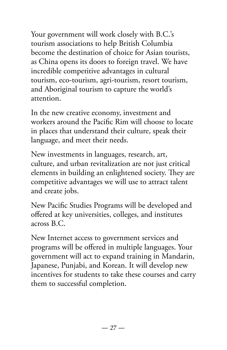Your government will work closely with B.C.'s tourism associations to help British Columbia become the destination of choice for Asian tourists, as China opens its doors to foreign travel. We have incredible competitive advantages in cultural tourism, eco-tourism, agri-tourism, resort tourism, and Aboriginal tourism to capture the world's attention.

In the new creative economy, investment and workers around the Pacific Rim will choose to locate in places that understand their culture, speak their language, and meet their needs.

New investments in languages, research, art, culture, and urban revitalization are not just critical elements in building an enlightened society. They are competitive advantages we will use to attract talent and create jobs.

New Pacific Studies Programs will be developed and offered at key universities, colleges, and institutes across B.C.

New Internet access to government services and programs will be offered in multiple languages. Your government will act to expand training in Mandarin, Japanese, Punjabi, and Korean. It will develop new incentives for students to take these courses and carry them to successful completion.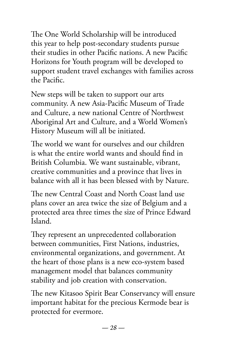The One World Scholarship will be introduced this year to help post-secondary students pursue their studies in other Pacific nations. A new Pacific Horizons for Youth program will be developed to support student travel exchanges with families across the Pacific.

New steps will be taken to support our arts community. A new Asia-Pacific Museum of Trade and Culture, a new national Centre of Northwest Aboriginal Art and Culture, and a World Women's History Museum will all be initiated.

The world we want for ourselves and our children is what the entire world wants and should find in British Columbia. We want sustainable, vibrant, creative communities and a province that lives in balance with all it has been blessed with by Nature.

The new Central Coast and North Coast land use plans cover an area twice the size of Belgium and a protected area three times the size of Prince Edward Island.

They represent an unprecedented collaboration between communities, First Nations, industries, environmental organizations, and government. At the heart of those plans is a new eco-system based management model that balances community stability and job creation with conservation.

The new Kitasoo Spirit Bear Conservancy will ensure important habitat for the precious Kermode bear is protected for evermore.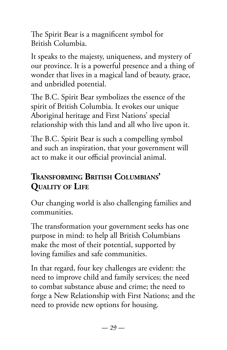The Spirit Bear is a magnificent symbol for British Columbia.

It speaks to the majesty, uniqueness, and mystery of our province. It is a powerful presence and a thing of wonder that lives in a magical land of beauty, grace, and unbridled potential.

The B.C. Spirit Bear symbolizes the essence of the spirit of British Columbia. It evokes our unique Aboriginal heritage and First Nations' special relationship with this land and all who live upon it.

The B.C. Spirit Bear is such a compelling symbol and such an inspiration, that your government will act to make it our official provincial animal.

# **TRANSFORMING BRITISH COLUMBIANS' QUALITY OF LIFE**

Our changing world is also challenging families and communities.

The transformation your government seeks has one purpose in mind: to help all British Columbians make the most of their potential, supported by loving families and safe communities.

In that regard, four key challenges are evident: the need to improve child and family services; the need to combat substance abuse and crime; the need to forge a New Relationship with First Nations; and the need to provide new options for housing.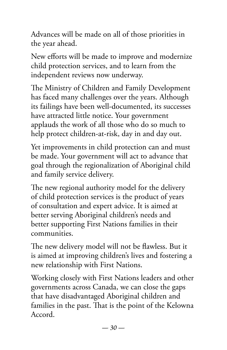Advances will be made on all of those priorities in the year ahead.

New efforts will be made to improve and modernize child protection services, and to learn from the independent reviews now underway.

The Ministry of Children and Family Development has faced many challenges over the years. Although its failings have been well-documented, its successes have attracted little notice. Your government applauds the work of all those who do so much to help protect children-at-risk, day in and day out.

Yet improvements in child protection can and must be made. Your government will act to advance that goal through the regionalization of Aboriginal child and family service delivery.

The new regional authority model for the delivery of child protection services is the product of years of consultation and expert advice. It is aimed at better serving Aboriginal children's needs and better supporting First Nations families in their communities.

The new delivery model will not be flawless. But it is aimed at improving children's lives and fostering a new relationship with First Nations.

Working closely with First Nations leaders and other governments across Canada, we can close the gaps that have disadvantaged Aboriginal children and families in the past. That is the point of the Kelowna Accord.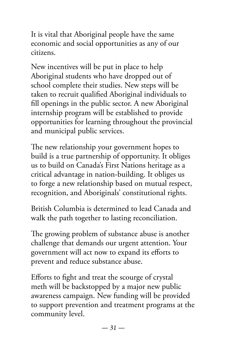It is vital that Aboriginal people have the same economic and social opportunities as any of our citizens.

New incentives will be put in place to help Aboriginal students who have dropped out of school complete their studies. New steps will be taken to recruit qualified Aboriginal individuals to fill openings in the public sector. A new Aboriginal internship program will be established to provide opportunities for learning throughout the provincial and municipal public services.

The new relationship your government hopes to build is a true partnership of opportunity. It obliges us to build on Canada's First Nations heritage as a critical advantage in nation-building. It obliges us to forge a new relationship based on mutual respect, recognition, and Aboriginals' constitutional rights.

British Columbia is determined to lead Canada and walk the path together to lasting reconciliation.

The growing problem of substance abuse is another challenge that demands our urgent attention. Your government will act now to expand its efforts to prevent and reduce substance abuse.

Efforts to fight and treat the scourge of crystal meth will be backstopped by a major new public awareness campaign. New funding will be provided to support prevention and treatment programs at the community level.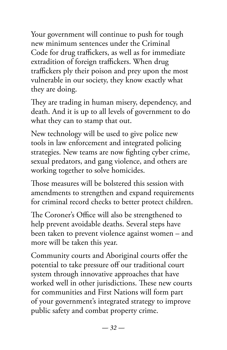Your government will continue to push for tough new minimum sentences under the Criminal Code for drug traffickers, as well as for immediate extradition of foreign traffickers. When drug traffickers ply their poison and prey upon the most vulnerable in our society, they know exactly what they are doing.

They are trading in human misery, dependency, and death. And it is up to all levels of government to do what they can to stamp that out.

New technology will be used to give police new tools in law enforcement and integrated policing strategies. New teams are now fighting cyber crime, sexual predators, and gang violence, and others are working together to solve homicides.

Those measures will be bolstered this session with amendments to strengthen and expand requirements for criminal record checks to better protect children.

The Coroner's Office will also be strengthened to help prevent avoidable deaths. Several steps have been taken to prevent violence against women – and more will be taken this year.

Community courts and Aboriginal courts offer the potential to take pressure off our traditional court system through innovative approaches that have worked well in other jurisdictions. These new courts for communities and First Nations will form part of your government's integrated strategy to improve public safety and combat property crime.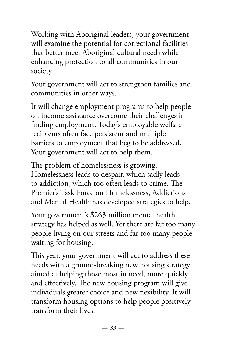Working with Aboriginal leaders, your government will examine the potential for correctional facilities that better meet Aboriginal cultural needs while enhancing protection to all communities in our society.

Your government will act to strengthen families and communities in other ways.

It will change employment programs to help people on income assistance overcome their challenges in finding employment. Today's employable welfare recipients often face persistent and multiple barriers to employment that beg to be addressed. Your government will act to help them.

The problem of homelessness is growing. Homelessness leads to despair, which sadly leads to addiction, which too often leads to crime. The Premier's Task Force on Homelessness, Addictions and Mental Health has developed strategies to help.

Your government's \$263 million mental health strategy has helped as well. Yet there are far too many people living on our streets and far too many people waiting for housing.

This year, your government will act to address these needs with a ground-breaking new housing strategy aimed at helping those most in need, more quickly and effectively. The new housing program will give individuals greater choice and new flexibility. It will transform housing options to help people positively transform their lives.